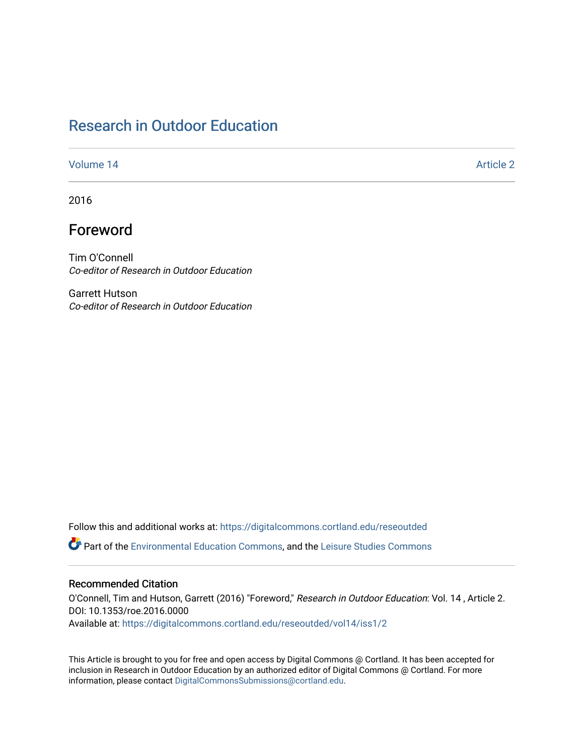# [Research in Outdoor Education](https://digitalcommons.cortland.edu/reseoutded)

#### [Volume 14](https://digitalcommons.cortland.edu/reseoutded/vol14) Article 2

2016

# Foreword

Tim O'Connell Co-editor of Research in Outdoor Education

Garrett Hutson Co-editor of Research in Outdoor Education

Follow this and additional works at: [https://digitalcommons.cortland.edu/reseoutded](https://digitalcommons.cortland.edu/reseoutded?utm_source=digitalcommons.cortland.edu%2Freseoutded%2Fvol14%2Fiss1%2F2&utm_medium=PDF&utm_campaign=PDFCoverPages) Part of the [Environmental Education Commons](http://network.bepress.com/hgg/discipline/1305?utm_source=digitalcommons.cortland.edu%2Freseoutded%2Fvol14%2Fiss1%2F2&utm_medium=PDF&utm_campaign=PDFCoverPages), and the [Leisure Studies Commons](http://network.bepress.com/hgg/discipline/1197?utm_source=digitalcommons.cortland.edu%2Freseoutded%2Fvol14%2Fiss1%2F2&utm_medium=PDF&utm_campaign=PDFCoverPages) 

### Recommended Citation

O'Connell, Tim and Hutson, Garrett (2016) "Foreword," Research in Outdoor Education: Vol. 14 , Article 2. DOI: 10.1353/roe.2016.0000

Available at: [https://digitalcommons.cortland.edu/reseoutded/vol14/iss1/2](https://digitalcommons.cortland.edu/reseoutded/vol14/iss1/2?utm_source=digitalcommons.cortland.edu%2Freseoutded%2Fvol14%2Fiss1%2F2&utm_medium=PDF&utm_campaign=PDFCoverPages) 

This Article is brought to you for free and open access by Digital Commons @ Cortland. It has been accepted for inclusion in Research in Outdoor Education by an authorized editor of Digital Commons @ Cortland. For more information, please contact [DigitalCommonsSubmissions@cortland.edu](mailto:DigitalCommonsSubmissions@cortland.edu).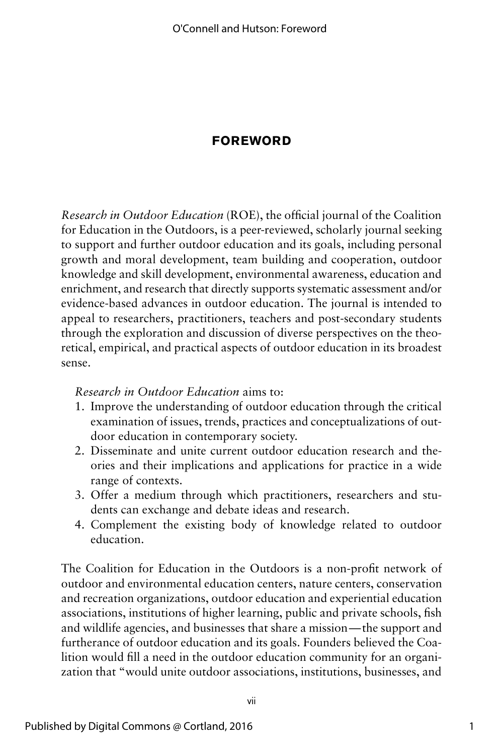## **FOREWORD**

*Research in Outdoor Education* (ROE), the official journal of the Coalition for Education in the Outdoors, is a peer-reviewed, scholarly journal seeking to support and further outdoor education and its goals, including personal growth and moral development, team building and cooperation, outdoor knowledge and skill development, environmental awareness, education and enrichment, and research that directly supports systematic assessment and/or evidence-based advances in outdoor education. The journal is intended to appeal to researchers, practitioners, teachers and post-secondary students through the exploration and discussion of diverse perspectives on the theoretical, empirical, and practical aspects of outdoor education in its broadest sense.

### *Research in Outdoor Education* aims to:

- 1. Improve the understanding of outdoor education through the critical examination of issues, trends, practices and conceptualizations of outdoor education in contemporary society.
- 2. Disseminate and unite current outdoor education research and theories and their implications and applications for practice in a wide range of contexts.
- 3. Offer a medium through which practitioners, researchers and students can exchange and debate ideas and research.
- 4. Complement the existing body of knowledge related to outdoor education.

The Coalition for Education in the Outdoors is a non-profit network of outdoor and environmental education centers, nature centers, conservation and recreation organizations, outdoor education and experiential education associations, institutions of higher learning, public and private schools, fish and wildlife agencies, and businesses that share a mission—the support and furtherance of outdoor education and its goals. Founders believed the Coalition would fill a need in the outdoor education community for an organization that "would unite outdoor associations, institutions, businesses, and